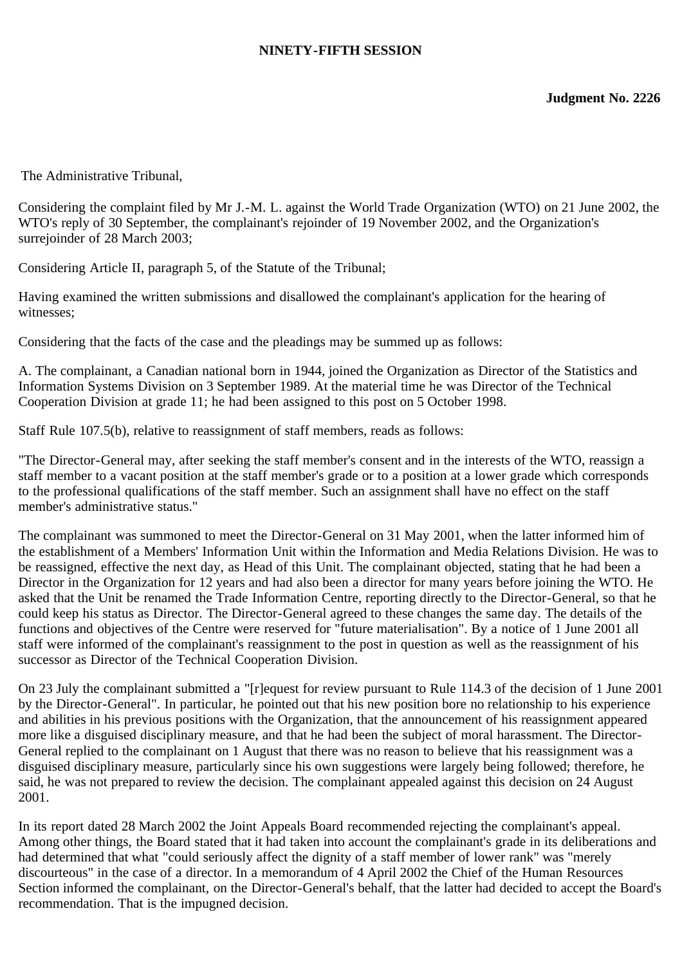## **NINETY-FIFTH SESSION**

The Administrative Tribunal,

Considering the complaint filed by Mr J.-M. L. against the World Trade Organization (WTO) on 21 June 2002, the WTO's reply of 30 September, the complainant's rejoinder of 19 November 2002, and the Organization's surrejoinder of 28 March 2003;

Considering Article II, paragraph 5, of the Statute of the Tribunal;

Having examined the written submissions and disallowed the complainant's application for the hearing of witnesses;

Considering that the facts of the case and the pleadings may be summed up as follows:

A. The complainant, a Canadian national born in 1944, joined the Organization as Director of the Statistics and Information Systems Division on 3 September 1989. At the material time he was Director of the Technical Cooperation Division at grade 11; he had been assigned to this post on 5 October 1998.

Staff Rule 107.5(b), relative to reassignment of staff members, reads as follows:

"The Director-General may, after seeking the staff member's consent and in the interests of the WTO, reassign a staff member to a vacant position at the staff member's grade or to a position at a lower grade which corresponds to the professional qualifications of the staff member. Such an assignment shall have no effect on the staff member's administrative status."

The complainant was summoned to meet the Director-General on 31 May 2001, when the latter informed him of the establishment of a Members' Information Unit within the Information and Media Relations Division. He was to be reassigned, effective the next day, as Head of this Unit. The complainant objected, stating that he had been a Director in the Organization for 12 years and had also been a director for many years before joining the WTO. He asked that the Unit be renamed the Trade Information Centre, reporting directly to the Director-General, so that he could keep his status as Director. The Director-General agreed to these changes the same day. The details of the functions and objectives of the Centre were reserved for "future materialisation". By a notice of 1 June 2001 all staff were informed of the complainant's reassignment to the post in question as well as the reassignment of his successor as Director of the Technical Cooperation Division.

On 23 July the complainant submitted a "[r]equest for review pursuant to Rule 114.3 of the decision of 1 June 2001 by the Director-General". In particular, he pointed out that his new position bore no relationship to his experience and abilities in his previous positions with the Organization, that the announcement of his reassignment appeared more like a disguised disciplinary measure, and that he had been the subject of moral harassment. The Director-General replied to the complainant on 1 August that there was no reason to believe that his reassignment was a disguised disciplinary measure, particularly since his own suggestions were largely being followed; therefore, he said, he was not prepared to review the decision. The complainant appealed against this decision on 24 August 2001.

In its report dated 28 March 2002 the Joint Appeals Board recommended rejecting the complainant's appeal. Among other things, the Board stated that it had taken into account the complainant's grade in its deliberations and had determined that what "could seriously affect the dignity of a staff member of lower rank" was "merely discourteous" in the case of a director. In a memorandum of 4 April 2002 the Chief of the Human Resources Section informed the complainant, on the Director-General's behalf, that the latter had decided to accept the Board's recommendation. That is the impugned decision.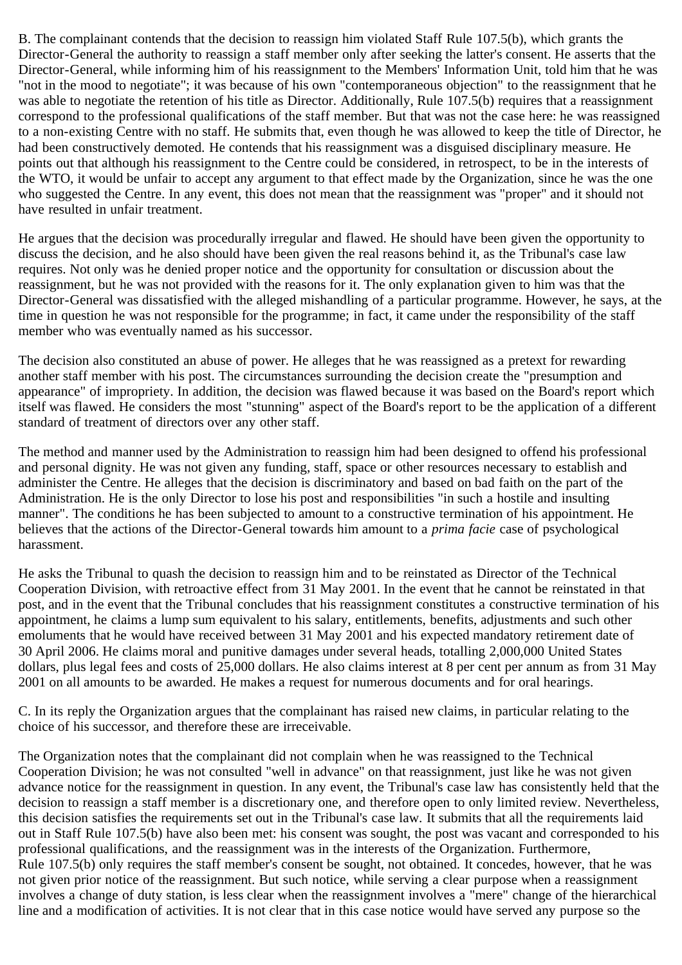B. The complainant contends that the decision to reassign him violated Staff Rule 107.5(b), which grants the Director-General the authority to reassign a staff member only after seeking the latter's consent. He asserts that the Director-General, while informing him of his reassignment to the Members' Information Unit, told him that he was "not in the mood to negotiate"; it was because of his own "contemporaneous objection" to the reassignment that he was able to negotiate the retention of his title as Director. Additionally, Rule 107.5(b) requires that a reassignment correspond to the professional qualifications of the staff member. But that was not the case here: he was reassigned to a non-existing Centre with no staff. He submits that, even though he was allowed to keep the title of Director, he had been constructively demoted. He contends that his reassignment was a disguised disciplinary measure. He points out that although his reassignment to the Centre could be considered, in retrospect, to be in the interests of the WTO, it would be unfair to accept any argument to that effect made by the Organization, since he was the one who suggested the Centre. In any event, this does not mean that the reassignment was "proper" and it should not have resulted in unfair treatment.

He argues that the decision was procedurally irregular and flawed. He should have been given the opportunity to discuss the decision, and he also should have been given the real reasons behind it, as the Tribunal's case law requires. Not only was he denied proper notice and the opportunity for consultation or discussion about the reassignment, but he was not provided with the reasons for it. The only explanation given to him was that the Director-General was dissatisfied with the alleged mishandling of a particular programme. However, he says, at the time in question he was not responsible for the programme; in fact, it came under the responsibility of the staff member who was eventually named as his successor.

The decision also constituted an abuse of power. He alleges that he was reassigned as a pretext for rewarding another staff member with his post. The circumstances surrounding the decision create the "presumption and appearance" of impropriety. In addition, the decision was flawed because it was based on the Board's report which itself was flawed. He considers the most "stunning" aspect of the Board's report to be the application of a different standard of treatment of directors over any other staff.

The method and manner used by the Administration to reassign him had been designed to offend his professional and personal dignity. He was not given any funding, staff, space or other resources necessary to establish and administer the Centre. He alleges that the decision is discriminatory and based on bad faith on the part of the Administration. He is the only Director to lose his post and responsibilities "in such a hostile and insulting manner". The conditions he has been subjected to amount to a constructive termination of his appointment. He believes that the actions of the Director-General towards him amount to a *prima facie* case of psychological harassment.

He asks the Tribunal to quash the decision to reassign him and to be reinstated as Director of the Technical Cooperation Division, with retroactive effect from 31 May 2001. In the event that he cannot be reinstated in that post, and in the event that the Tribunal concludes that his reassignment constitutes a constructive termination of his appointment, he claims a lump sum equivalent to his salary, entitlements, benefits, adjustments and such other emoluments that he would have received between 31 May 2001 and his expected mandatory retirement date of 30 April 2006. He claims moral and punitive damages under several heads, totalling 2,000,000 United States dollars, plus legal fees and costs of 25,000 dollars. He also claims interest at 8 per cent per annum as from 31 May 2001 on all amounts to be awarded. He makes a request for numerous documents and for oral hearings.

C. In its reply the Organization argues that the complainant has raised new claims, in particular relating to the choice of his successor, and therefore these are irreceivable.

The Organization notes that the complainant did not complain when he was reassigned to the Technical Cooperation Division; he was not consulted "well in advance" on that reassignment, just like he was not given advance notice for the reassignment in question. In any event, the Tribunal's case law has consistently held that the decision to reassign a staff member is a discretionary one, and therefore open to only limited review. Nevertheless, this decision satisfies the requirements set out in the Tribunal's case law. It submits that all the requirements laid out in Staff Rule 107.5(b) have also been met: his consent was sought, the post was vacant and corresponded to his professional qualifications, and the reassignment was in the interests of the Organization. Furthermore, Rule 107.5(b) only requires the staff member's consent be sought, not obtained. It concedes, however, that he was not given prior notice of the reassignment. But such notice, while serving a clear purpose when a reassignment involves a change of duty station, is less clear when the reassignment involves a "mere" change of the hierarchical line and a modification of activities. It is not clear that in this case notice would have served any purpose so the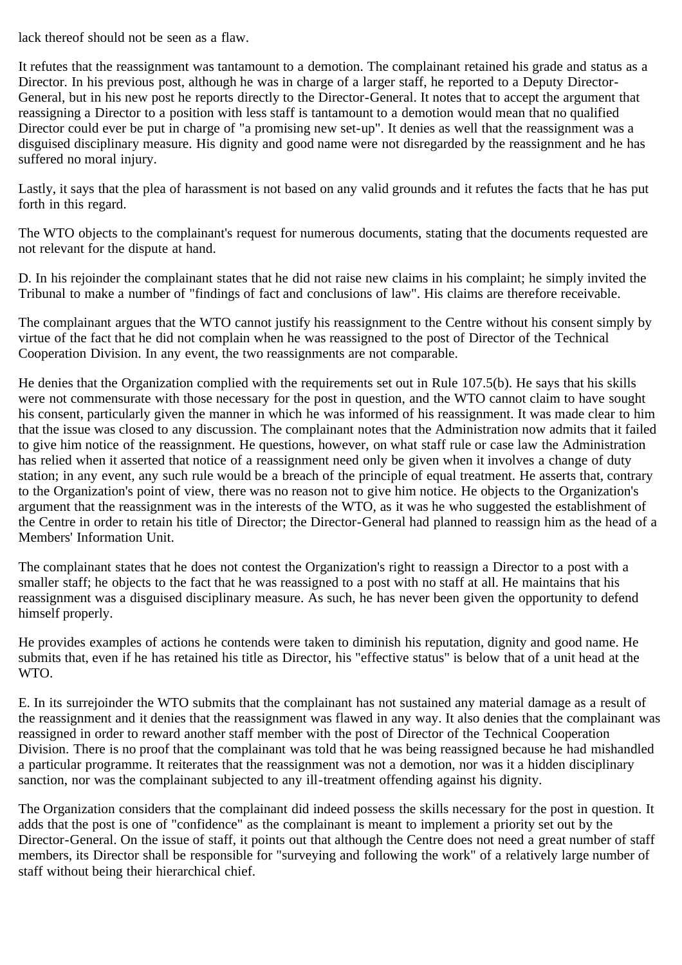lack thereof should not be seen as a flaw.

It refutes that the reassignment was tantamount to a demotion. The complainant retained his grade and status as a Director. In his previous post, although he was in charge of a larger staff, he reported to a Deputy Director-General, but in his new post he reports directly to the Director-General. It notes that to accept the argument that reassigning a Director to a position with less staff is tantamount to a demotion would mean that no qualified Director could ever be put in charge of "a promising new set-up". It denies as well that the reassignment was a disguised disciplinary measure. His dignity and good name were not disregarded by the reassignment and he has suffered no moral injury.

Lastly, it says that the plea of harassment is not based on any valid grounds and it refutes the facts that he has put forth in this regard.

The WTO objects to the complainant's request for numerous documents, stating that the documents requested are not relevant for the dispute at hand.

D. In his rejoinder the complainant states that he did not raise new claims in his complaint; he simply invited the Tribunal to make a number of "findings of fact and conclusions of law". His claims are therefore receivable.

The complainant argues that the WTO cannot justify his reassignment to the Centre without his consent simply by virtue of the fact that he did not complain when he was reassigned to the post of Director of the Technical Cooperation Division. In any event, the two reassignments are not comparable.

He denies that the Organization complied with the requirements set out in Rule 107.5(b). He says that his skills were not commensurate with those necessary for the post in question, and the WTO cannot claim to have sought his consent, particularly given the manner in which he was informed of his reassignment. It was made clear to him that the issue was closed to any discussion. The complainant notes that the Administration now admits that it failed to give him notice of the reassignment. He questions, however, on what staff rule or case law the Administration has relied when it asserted that notice of a reassignment need only be given when it involves a change of duty station; in any event, any such rule would be a breach of the principle of equal treatment. He asserts that, contrary to the Organization's point of view, there was no reason not to give him notice. He objects to the Organization's argument that the reassignment was in the interests of the WTO, as it was he who suggested the establishment of the Centre in order to retain his title of Director; the Director-General had planned to reassign him as the head of a Members' Information Unit.

The complainant states that he does not contest the Organization's right to reassign a Director to a post with a smaller staff; he objects to the fact that he was reassigned to a post with no staff at all. He maintains that his reassignment was a disguised disciplinary measure. As such, he has never been given the opportunity to defend himself properly.

He provides examples of actions he contends were taken to diminish his reputation, dignity and good name. He submits that, even if he has retained his title as Director, his "effective status" is below that of a unit head at the WTO.

E. In its surrejoinder the WTO submits that the complainant has not sustained any material damage as a result of the reassignment and it denies that the reassignment was flawed in any way. It also denies that the complainant was reassigned in order to reward another staff member with the post of Director of the Technical Cooperation Division. There is no proof that the complainant was told that he was being reassigned because he had mishandled a particular programme. It reiterates that the reassignment was not a demotion, nor was it a hidden disciplinary sanction, nor was the complainant subjected to any ill-treatment offending against his dignity.

The Organization considers that the complainant did indeed possess the skills necessary for the post in question. It adds that the post is one of "confidence" as the complainant is meant to implement a priority set out by the Director-General. On the issue of staff, it points out that although the Centre does not need a great number of staff members, its Director shall be responsible for "surveying and following the work" of a relatively large number of staff without being their hierarchical chief.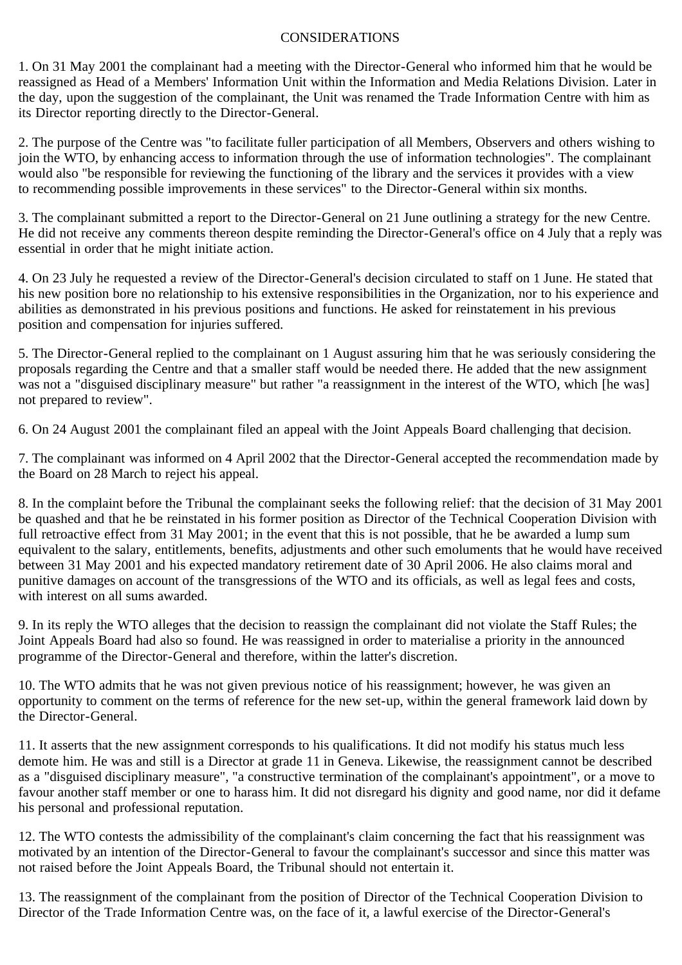## CONSIDERATIONS

1. On 31 May 2001 the complainant had a meeting with the Director-General who informed him that he would be reassigned as Head of a Members' Information Unit within the Information and Media Relations Division. Later in the day, upon the suggestion of the complainant, the Unit was renamed the Trade Information Centre with him as its Director reporting directly to the Director-General.

2. The purpose of the Centre was "to facilitate fuller participation of all Members, Observers and others wishing to join the WTO, by enhancing access to information through the use of information technologies". The complainant would also "be responsible for reviewing the functioning of the library and the services it provides with a view to recommending possible improvements in these services" to the Director-General within six months.

3. The complainant submitted a report to the Director-General on 21 June outlining a strategy for the new Centre. He did not receive any comments thereon despite reminding the Director-General's office on 4 July that a reply was essential in order that he might initiate action.

4. On 23 July he requested a review of the Director-General's decision circulated to staff on 1 June. He stated that his new position bore no relationship to his extensive responsibilities in the Organization, nor to his experience and abilities as demonstrated in his previous positions and functions. He asked for reinstatement in his previous position and compensation for injuries suffered.

5. The Director-General replied to the complainant on 1 August assuring him that he was seriously considering the proposals regarding the Centre and that a smaller staff would be needed there. He added that the new assignment was not a "disguised disciplinary measure" but rather "a reassignment in the interest of the WTO, which [he was] not prepared to review".

6. On 24 August 2001 the complainant filed an appeal with the Joint Appeals Board challenging that decision.

7. The complainant was informed on 4 April 2002 that the Director-General accepted the recommendation made by the Board on 28 March to reject his appeal.

8. In the complaint before the Tribunal the complainant seeks the following relief: that the decision of 31 May 2001 be quashed and that he be reinstated in his former position as Director of the Technical Cooperation Division with full retroactive effect from 31 May 2001; in the event that this is not possible, that he be awarded a lump sum equivalent to the salary, entitlements, benefits, adjustments and other such emoluments that he would have received between 31 May 2001 and his expected mandatory retirement date of 30 April 2006. He also claims moral and punitive damages on account of the transgressions of the WTO and its officials, as well as legal fees and costs, with interest on all sums awarded.

9. In its reply the WTO alleges that the decision to reassign the complainant did not violate the Staff Rules; the Joint Appeals Board had also so found. He was reassigned in order to materialise a priority in the announced programme of the Director-General and therefore, within the latter's discretion.

10. The WTO admits that he was not given previous notice of his reassignment; however, he was given an opportunity to comment on the terms of reference for the new set-up, within the general framework laid down by the Director-General.

11. It asserts that the new assignment corresponds to his qualifications. It did not modify his status much less demote him. He was and still is a Director at grade 11 in Geneva. Likewise, the reassignment cannot be described as a "disguised disciplinary measure", "a constructive termination of the complainant's appointment", or a move to favour another staff member or one to harass him. It did not disregard his dignity and good name, nor did it defame his personal and professional reputation.

12. The WTO contests the admissibility of the complainant's claim concerning the fact that his reassignment was motivated by an intention of the Director-General to favour the complainant's successor and since this matter was not raised before the Joint Appeals Board, the Tribunal should not entertain it.

13. The reassignment of the complainant from the position of Director of the Technical Cooperation Division to Director of the Trade Information Centre was, on the face of it, a lawful exercise of the Director-General's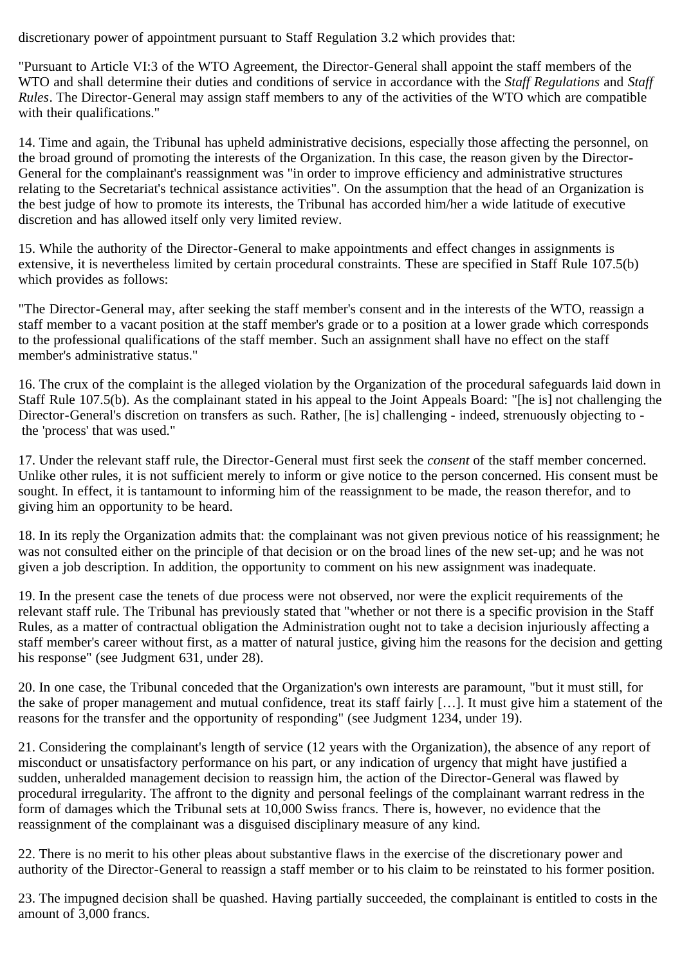discretionary power of appointment pursuant to Staff Regulation 3.2 which provides that:

"Pursuant to Article VI:3 of the WTO Agreement, the Director-General shall appoint the staff members of the WTO and shall determine their duties and conditions of service in accordance with the *Staff Regulations* and *Staff Rules*. The Director-General may assign staff members to any of the activities of the WTO which are compatible with their qualifications."

14. Time and again, the Tribunal has upheld administrative decisions, especially those affecting the personnel, on the broad ground of promoting the interests of the Organization. In this case, the reason given by the Director-General for the complainant's reassignment was "in order to improve efficiency and administrative structures relating to the Secretariat's technical assistance activities". On the assumption that the head of an Organization is the best judge of how to promote its interests, the Tribunal has accorded him/her a wide latitude of executive discretion and has allowed itself only very limited review.

15. While the authority of the Director-General to make appointments and effect changes in assignments is extensive, it is nevertheless limited by certain procedural constraints. These are specified in Staff Rule 107.5(b) which provides as follows:

"The Director-General may, after seeking the staff member's consent and in the interests of the WTO, reassign a staff member to a vacant position at the staff member's grade or to a position at a lower grade which corresponds to the professional qualifications of the staff member. Such an assignment shall have no effect on the staff member's administrative status."

16. The crux of the complaint is the alleged violation by the Organization of the procedural safeguards laid down in Staff Rule 107.5(b). As the complainant stated in his appeal to the Joint Appeals Board: "[he is] not challenging the Director-General's discretion on transfers as such. Rather, [he is] challenging - indeed, strenuously objecting to the 'process' that was used."

17. Under the relevant staff rule, the Director-General must first seek the *consent* of the staff member concerned. Unlike other rules, it is not sufficient merely to inform or give notice to the person concerned. His consent must be sought. In effect, it is tantamount to informing him of the reassignment to be made, the reason therefor, and to giving him an opportunity to be heard.

18. In its reply the Organization admits that: the complainant was not given previous notice of his reassignment; he was not consulted either on the principle of that decision or on the broad lines of the new set-up; and he was not given a job description. In addition, the opportunity to comment on his new assignment was inadequate.

19. In the present case the tenets of due process were not observed, nor were the explicit requirements of the relevant staff rule. The Tribunal has previously stated that "whether or not there is a specific provision in the Staff Rules, as a matter of contractual obligation the Administration ought not to take a decision injuriously affecting a staff member's career without first, as a matter of natural justice, giving him the reasons for the decision and getting his response" (see Judgment 631, under 28).

20. In one case, the Tribunal conceded that the Organization's own interests are paramount, "but it must still, for the sake of proper management and mutual confidence, treat its staff fairly […]. It must give him a statement of the reasons for the transfer and the opportunity of responding" (see Judgment 1234, under 19).

21. Considering the complainant's length of service (12 years with the Organization), the absence of any report of misconduct or unsatisfactory performance on his part, or any indication of urgency that might have justified a sudden, unheralded management decision to reassign him, the action of the Director-General was flawed by procedural irregularity. The affront to the dignity and personal feelings of the complainant warrant redress in the form of damages which the Tribunal sets at 10,000 Swiss francs. There is, however, no evidence that the reassignment of the complainant was a disguised disciplinary measure of any kind.

22. There is no merit to his other pleas about substantive flaws in the exercise of the discretionary power and authority of the Director-General to reassign a staff member or to his claim to be reinstated to his former position.

23. The impugned decision shall be quashed. Having partially succeeded, the complainant is entitled to costs in the amount of 3,000 francs.